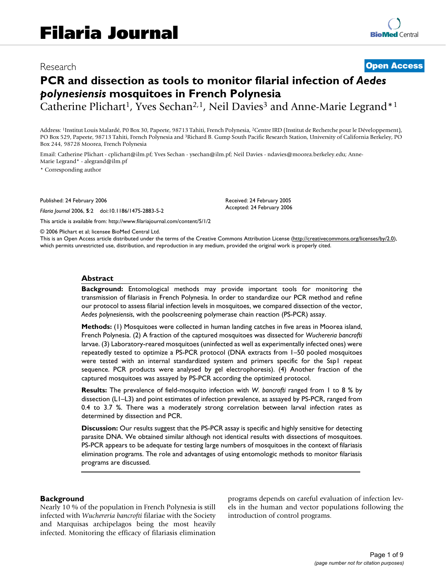# Research **[Open Access](http://www.biomedcentral.com/info/about/charter/)**

# **PCR and dissection as tools to monitor filarial infection of** *Aedes polynesiensis* **mosquitoes in French Polynesia**

Catherine Plichart<sup>1</sup>, Yves Sechan<sup>2,1</sup>, Neil Davies<sup>3</sup> and Anne-Marie Legrand<sup>\*1</sup>

Address: 1Institut Louis Malardé, P0 Box 30, Papeete, 98713 Tahiti, French Polynesia, 2Centre IRD (Institut de Recherche pour le Développement), PO Box 529, Papeete, 98713 Tahiti, French Polynesia and 3Richard B. Gump South Pacific Research Station, University of California Berkeley, PO Box 244, 98728 Moorea, French Polynesia

Email: Catherine Plichart - cplichart@ilm.pf; Yves Sechan - ysechan@ilm.pf; Neil Davies - ndavies@moorea.berkeley.edu; Anne-Marie Legrand\* - alegrand@ilm.pf

\* Corresponding author

Published: 24 February 2006

*Filaria Journal* 2006, **5**:2 doi:10.1186/1475-2883-5-2

[This article is available from: http://www.filariajournal.com/content/5/1/2](http://www.filariajournal.com/content/5/1/2)

Received: 24 February 2005 Accepted: 24 February 2006

© 2006 Plichart et al; licensee BioMed Central Ltd.

This is an Open Access article distributed under the terms of the Creative Commons Attribution License [\(http://creativecommons.org/licenses/by/2.0\)](http://creativecommons.org/licenses/by/2.0), which permits unrestricted use, distribution, and reproduction in any medium, provided the original work is properly cited.

#### **Abstract**

**Background:** Entomological methods may provide important tools for monitoring the transmission of filariasis in French Polynesia. In order to standardize our PCR method and refine our protocol to assess filarial infection levels in mosquitoes, we compared dissection of the vector, *Aedes polynesiensis*, with the poolscreening polymerase chain reaction (PS-PCR) assay.

**Methods:** (1) Mosquitoes were collected in human landing catches in five areas in Moorea island, French Polynesia. (2) A fraction of the captured mosquitoes was dissected for *Wuchereria bancrofti* larvae. (3) Laboratory-reared mosquitoes (uninfected as well as experimentally infected ones) were repeatedly tested to optimize a PS-PCR protocol (DNA extracts from 1–50 pooled mosquitoes were tested with an internal standardized system and primers specific for the Ssp1 repeat sequence. PCR products were analysed by gel electrophoresis). (4) Another fraction of the captured mosquitoes was assayed by PS-PCR according the optimized protocol.

**Results:** The prevalence of field-mosquito infection with *W. bancrofti* ranged from 1 to 8 % by dissection (L1–L3) and point estimates of infection prevalence, as assayed by PS-PCR, ranged from 0.4 to 3.7 %. There was a moderately strong correlation between larval infection rates as determined by dissection and PCR.

**Discussion:** Our results suggest that the PS-PCR assay is specific and highly sensitive for detecting parasite DNA. We obtained similar although not identical results with dissections of mosquitoes. PS-PCR appears to be adequate for testing large numbers of mosquitoes in the context of filariasis elimination programs. The role and advantages of using entomologic methods to monitor filariasis programs are discussed.

#### **Background**

Nearly 10 % of the population in French Polynesia is still infected with *Wuchereria bancrofti* filariae with the Society and Marquisas archipelagos being the most heavily infected. Monitoring the efficacy of filariasis elimination programs depends on careful evaluation of infection levels in the human and vector populations following the introduction of control programs.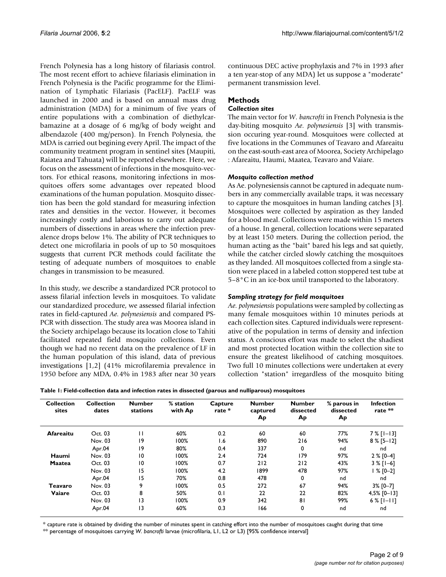French Polynesia has a long history of filariasis control. The most recent effort to achieve filariasis elimination in French Polynesia is the Pacific programme for the Elimination of Lymphatic Filariasis (PacELF). PacELF was launched in 2000 and is based on annual mass drug administration (MDA) for a minimum of five years of entire populations with a combination of diethylcarbamazine at a dosage of 6 mg/kg of body weight and albendazole (400 mg/person). In French Polynesia, the MDA is carried out begining every April. The impact of the community treatment program in sentinel sites (Maupiti, Raiatea and Tahuata) will be reported elsewhere. Here, we focus on the assessment of infections in the mosquito-vectors. For ethical reasons, monitoring infections in mosquitoes offers some advantages over repeated blood examinations of the human population. Mosquito dissection has been the gold standard for measuring infection rates and densities in the vector. However, it becomes increasingly costly and laborious to carry out adequate numbers of dissections in areas where the infection prevalence drops below 1%. The ability of PCR techniques to detect one microfilaria in pools of up to 50 mosquitoes suggests that current PCR methods could facilitate the testing of adequate numbers of mosquitoes to enable changes in transmission to be measured.

In this study, we describe a standardized PCR protocol to assess filarial infection levels in mosquitoes. To validate our standardized procedure, we assessed filarial infection rates in field-captured *Ae. polynesiensis* and compared PS-PCR with dissection. The study area was Moorea island in the Society archipelago because its location close to Tahiti facilitated repeated field mosquito collections. Even though we had no recent data on the prevalence of LF in the human population of this island, data of previous investigations [1,2] (41% microfilaremia prevalence in 1950 before any MDA, 0.4% in 1983 after near 30 years continuous DEC active prophylaxis and 7% in 1993 after a ten year-stop of any MDA) let us suppose a "moderate" permanent transmission level.

# **Methods**

## *Collection sites*

The main vector for *W. bancrofti* in French Polynesia is the day-biting mosquito *Ae. polynesiensis* [3] with transmission occuring year-round. Mosquitoes were collected at five locations in the Communes of Teavaro and Afareaitu on the east-south-east area of Moorea, Society Archipelago : Afareaitu, Haumi, Maatea, Teavaro and Vaiare.

## *Mosquito collection method*

As Ae. polynesiensis cannot be captured in adequate numbers in any commercially available traps, it was necessary to capture the mosquitoes in human landing catches [3]. Mosquitoes were collected by aspiration as they landed for a blood meal. Collections were made within 15 meters of a house. In general, collection locations were separated by at least 150 meters. During the collection period, the human acting as the "bait" bared his legs and sat quietly, while the catcher circled slowly catching the mosquitoes as they landed. All mosquitoes collected from a single station were placed in a labeled cotton stoppered test tube at 5–8°C in an ice-box until transported to the laboratory.

# *Sampling strategy for field mosquitoes*

*Ae. polynesiensis* populations were sampled by collecting as many female mosquitoes within 10 minutes periods at each collection sites. Captured individuals were representative of the population in terms of density and infection status. A conscious effort was made to select the shadiest and most protected location within the collection site to ensure the greatest likelihood of catching mosquitoes. Two full 10 minutes collections were undertaken at every collection "station" irregardless of the mosquito biting

| Table 1: Field-collection data and infection rates in dissected (parous and nulliparous) mosquitoes |  |  |  |
|-----------------------------------------------------------------------------------------------------|--|--|--|
|                                                                                                     |  |  |  |

| <b>Collection</b><br>sites | <b>Collection</b><br>dates | <b>Number</b><br>stations | % station<br>with Ap | Capture<br>rate * | <b>Number</b><br>captured<br>Ap | <b>Number</b><br>dissected<br>Ap | % parous in<br>dissected<br>Ap | <b>Infection</b><br>rate ** |
|----------------------------|----------------------------|---------------------------|----------------------|-------------------|---------------------------------|----------------------------------|--------------------------------|-----------------------------|
| Afareaitu                  | Oct. 03                    | П                         | 60%                  | 0.2               | 60                              | 60                               | 77%                            | $7%$ [1-13]                 |
|                            | Nov. 03                    | 9                         | 100%                 | 1.6               | 890                             | 216                              | 94%                            | $8\%$ [5-12]                |
|                            | Apr.04                     | 19                        | 80%                  | 0.4               | 337                             | 0                                | nd                             | nd                          |
| Haumi                      | Nov. 03                    | 10                        | 100%                 | 2.4               | 724                             | 179                              | 97%                            | $2 % [0-4]$                 |
| <b>Maatea</b>              | Oct. 03                    | 10                        | 100%                 | 0.7               | 212                             | 212                              | 43%                            | $3 %$ [1-6]                 |
|                            | Nov. 03                    | 15                        | 100%                 | 4.2               | 1899                            | 478                              | 97%                            | l % [0–2]                   |
|                            | Apr.04                     | 15                        | 70%                  | 0.8               | 478                             | 0                                | nd                             | nd                          |
| Teavaro                    | Nov. 03                    | 9                         | 100%                 | 0.5               | 272                             | 67                               | 94%                            | $3\%$ [0-7]                 |
| Vaiare                     | Oct. 03                    | 8                         | 50%                  | 0.1               | 22                              | 22                               | 82%                            | $4,5\%$ [0-13]              |
|                            | Nov. 03                    | 13                        | 100%                 | 0.9               | 342                             | 81                               | 99%                            | $6\%$ [ $1-11$ ]            |
|                            | Apr.04                     | 3                         | 60%                  | 0.3               | 166                             | 0                                | nd                             | nd                          |

\* capture rate is obtained by dividing the number of minutes spent in catching effort into the number of mosquitoes caught during that time

\*\* percentage of mosquitoes carrying *W. bancrofti* larvae (microfilaria, L1, L2 or L3) [95% confidence interval]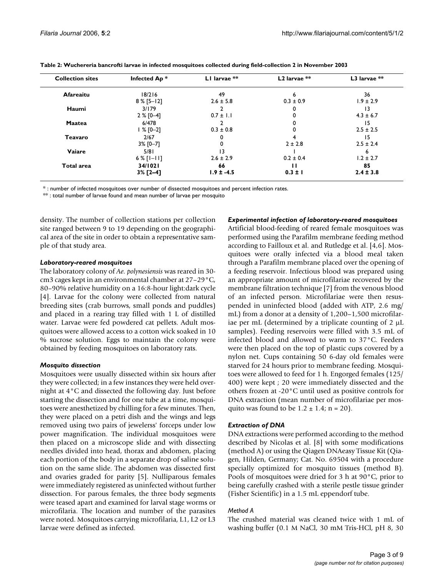| <b>Collection sites</b> | Infected Ap*     | LI larvae **   | $L2$ larvae $**$ | $L3$ larvae ** |
|-------------------------|------------------|----------------|------------------|----------------|
| Afareaitu               | 18/216           | 49             | 6                | 36             |
|                         | $8\%$ [5-12]     | $2.6 \pm 5.8$  | $0.3 \pm 0.9$    | $1.9 \pm 2.9$  |
| Haumi                   | 3/179            |                |                  | 13             |
|                         | $2 % [0-4]$      | $0.7 \pm 1.1$  |                  | $4.3 \pm 6.7$  |
| <b>Maatea</b>           | 6/478            |                |                  | 15             |
|                         | $1 % [0-2]$      | $0.3 \pm 0.8$  | 0                | $2.5 \pm 2.5$  |
| Teavaro                 | 2/67             |                |                  | 15             |
|                         | $3\%$ [0-7]      |                | $2 \pm 2.8$      | $2.5 \pm 2.4$  |
| Vaiare                  | 5/81             | 13             |                  | ь              |
|                         | $6\%$ [ $1-11$ ] | $2.6 \pm 2.9$  | $0.2 \pm 0.4$    | $1.2 \pm 2.7$  |
| <b>Total area</b>       | 34/1021          | 66             | ш                | 85             |
|                         | $3%$ [2-4]       | $1.9 \pm -4.5$ | $0.3 \pm 1$      | $2.4 \pm 3.8$  |

\* : number of infected mosquitoes over number of dissected mosquitoes and percent infection rates.

\*\*: total number of larvae found and mean number of larvae per mosquito

density. The number of collection stations per collection site ranged between 9 to 19 depending on the geographical area of the site in order to obtain a representative sample of that study area.

#### *Laboratory-reared mosquitoes*

The laboratory colony of *Ae. polynesiensis* was reared in 30 cm3 cages kept in an environmental chamber at 27–29°C, 80–90% relative humidity on a 16:8-hour light:dark cycle [4]. Larvae for the colony were collected from natural breeding sites (crab burrows, small ponds and puddles) and placed in a rearing tray filled with 1 L of distilled water. Larvae were fed powdered cat pellets. Adult mosquitoes were allowed access to a cotton wick soaked in 10 % sucrose solution. Eggs to maintain the colony were obtained by feeding mosquitoes on laboratory rats.

## *Mosquito dissection*

Mosquitoes were usually dissected within six hours after they were collected; in a few instances they were held overnight at 4°C and dissected the following day. Just before starting the dissection and for one tube at a time, mosquitoes were anesthetized by chilling for a few minutes. Then, they were placed on a petri dish and the wings and legs removed using two pairs of jewelerss' forceps under low power magnification. The individual mosquitoes were then placed on a microscope slide and with dissecting needles divided into head, thorax and abdomen, placing each portion of the body in a separate drop of saline solution on the same slide. The abdomen was dissected first and ovaries graded for parity [[5](#page-8-0)]. Nulliparous females were immediately registered as uninfected without further dissection. For parous females, the three body segments were teased apart and examined for larval stage worms or microfilaria. The location and number of the parasites were noted. Mosquitoes carrying microfilaria, L1, L2 or L3 larvae were defined as infected.

#### *Experimental infection of laboratory-reared mosquitoes*

Artificial blood-feeding of reared female mosquitoes was performed using the Parafilm membrane feeding method according to Failloux et al. and Rutledge et al. [4,6]. Mosquitoes were orally infected via a blood meal taken through a Parafilm membrane placed over the opening of a feeding reservoir. Infectious blood was prepared using an appropriate amount of microfilariae recovered by the membrane filtration technique [7] from the venous blood of an infected person. Microfilariae were then resuspended in uninfected blood (added with ATP, 2.6 mg/ mL) from a donor at a density of 1,200–1,500 microfilariae per mL (determined by a triplicate counting of  $2 \mu L$ samples). Feeding reservoirs were filled with 3.5 mL of infected blood and allowed to warm to 37°C. Feeders were then placed on the top of plastic cups covered by a nylon net. Cups containing 50 6-day old females were starved for 24 hours prior to membrane feeding. Mosquitoes were allowed to feed for 1 h. Engorged females (125/ 400) were kept ; 20 were immediately dissected and the others frozen at -20°C until used as positive controls for DNA extraction (mean number of microfilariae per mosquito was found to be  $1.2 \pm 1.4$ ; n = 20).

## *Extraction of DNA*

DNA extractions were performed according to the method described by Nicolas et al. [8] with some modifications (method A) or using the Qiagen DNAeasy Tissue Kit (Qiagen, Hilden, Germany; Cat. No. 69504 with a procedure specially optimized for mosquito tissues (method B). Pools of mosquitoes were dried for 3 h at 90°C, prior to being carefully crashed with a sterile pestle tissue grinder (Fisher Scientific) in a 1.5 mL eppendorf tube.

## *Method A*

The crushed material was cleaned twice with 1 mL of washing buffer (0.1 M NaCl, 30 mM Tris-HCl, pH 8, 30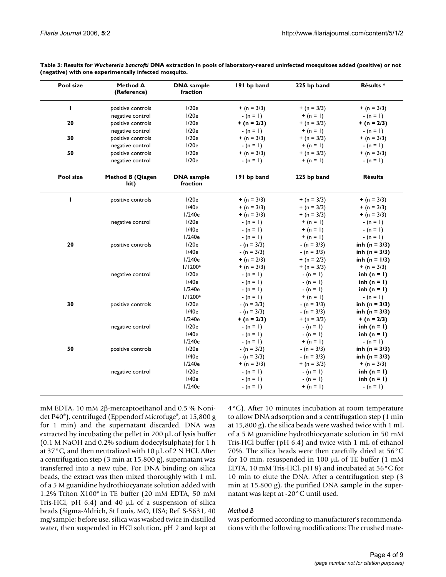| Pool size | Method A<br>(Reference)  | <b>DNA</b> sample<br>fraction | 191 bp band   | 225 bp band   | Résults *         |
|-----------|--------------------------|-------------------------------|---------------|---------------|-------------------|
| L         | positive controls        | 1/20e                         | $+ (n = 3/3)$ | $+ (n = 3/3)$ | $+ (n = 3/3)$     |
|           | negative control         | 1/20e                         | $-(n = 1)$    | + $(n = 1)$   | $-(n = 1)$        |
| 20        | positive controls        | 1/20e                         | $+ (n = 2/3)$ | $+ (n = 3/3)$ | $+ (n = 2/3)$     |
|           | negative control         | 1/20e                         | $-(n = 1)$    | + $(n = 1)$   | $-(n = 1)$        |
| 30        | positive controls        | 1/20e                         | $+ (n = 3/3)$ | $+ (n = 3/3)$ | $+ (n = 3/3)$     |
|           | negative control         | 1/20e                         | $-(n = 1)$    | + $(n = 1)$   | $-(n = 1)$        |
| 50        | positive controls        | 1/20e                         | $+ (n = 3/3)$ | $+ (n = 3/3)$ | $+ (n = 3/3)$     |
|           | negative control         | 1/20e                         | $-(n = 1)$    | + $(n = 1)$   | $-(n = 1)$        |
| Pool size | Method B (Qiagen<br>kit) | <b>DNA</b> sample<br>fraction | 191 bp band   | 225 bp band   | <b>Résults</b>    |
| т         | positive controls        | 1/20e                         | $+ (n = 3/3)$ | $+ (n = 3/3)$ | $+ (n = 3/3)$     |
|           |                          | 1/40e                         | $+ (n = 3/3)$ | $+ (n = 3/3)$ | $+ (n = 3/3)$     |
|           |                          | 1/240e                        | $+ (n = 3/3)$ | $+ (n = 3/3)$ | $+ (n = 3/3)$     |
|           | negative control         | 1/20e                         | $-(n = 1)$    | $+ (n = 1)$   | $-(n = 1)$        |
|           |                          | 1/40e                         | $-(n = 1)$    | $+ (n = 1)$   | $-(n = 1)$        |
|           |                          | 1/240e                        | $-(n = 1)$    | + (n = 1)     | $-(n = 1)$        |
| 20        | positive controls        | 1/20e                         | $-(n = 3/3)$  | $-(n = 3/3)$  | inh ( $n = 3/3$ ) |
|           |                          | I/40e                         | $-(n = 3/3)$  | $-(n = 3/3)$  | inh ( $n = 3/3$ ) |
|           |                          | 1/240e                        | $+ (n = 2/3)$ | $+ (n = 2/3)$ | inh (n = $1/3$ )  |
|           |                          | I/1200 <sup>e</sup>           | $+ (n = 3/3)$ | $+ (n = 3/3)$ | $+ (n = 3/3)$     |
|           | negative control         | 1/20e                         | $-(n = 1)$    | $-(n = 1)$    | inh $(n = 1)$     |
|           |                          | I/40e                         | $-(n = 1)$    | $-(n = 1)$    | inh $(n = 1)$     |
|           |                          | 1/240e                        | $-(n = 1)$    | $-(n = 1)$    | inh $(n = 1)$     |
|           |                          | I/1200 <sup>e</sup>           | $-(n = 1)$    | + $(n = 1)$   | $-(n = 1)$        |
| 30        | positive controls        | 1/20e                         | $-(n = 3/3)$  | $-(n = 3/3)$  | inh (n = $3/3$ )  |
|           |                          | 1/40e                         | $-(n = 3/3)$  | $-(n = 3/3)$  | inh (n = $3/3$ )  |
|           |                          | 1/240e                        | $+ (n = 2/3)$ | $+ (n = 3/3)$ | $+ (n = 2/3)$     |
|           | negative control         | 1/20e                         | $-(n = 1)$    | $-(n = 1)$    | inh $(n = 1)$     |
|           |                          | I/40e                         | $-(n = 1)$    | $-(n = 1)$    | inh $(n = 1)$     |
|           |                          | 1/240e                        | $-(n = 1)$    | + (n = 1)     | $-(n = 1)$        |
| 50        | positive controls        | 1/20e                         | $-(n = 3/3)$  | $-(n = 3/3)$  | inh (n = $3/3$ )  |
|           |                          | 1/40e                         | $-(n = 3/3)$  | $-(n = 3/3)$  | inh ( $n = 3/3$ ) |
|           |                          | 1/240e                        | $+ (n = 3/3)$ | $+ (n = 3/3)$ | $+ (n = 3/3)$     |
|           | negative control         | 1/20e                         | $-(n = 1)$    | $-(n = 1)$    | inh $(n = 1)$     |
|           |                          | 1/40e                         | $-(n = 1)$    | $-(n = 1)$    | inh $(n = 1)$     |
|           |                          | 1/240e                        | $-(n = 1)$    | $+ (n = 1)$   | $-(n = 1)$        |

**Table 3: Results for** *Wuchereria bancrofti* **DNA extraction in pools of laboratory-reared uninfected mosquitoes added (positive) or not (negative) with one experimentally infected mosquito.**

mM EDTA, 10 mM 2β-mercaptoethanol and 0.5 % Nonidet P40®), centrifuged (Eppendorf Microfuge®, at 15,800 g for 1 min) and the supernatant discarded. DNA was extracted by incubating the pellet in 200 µL of lysis buffer (0.1 M NaOH and 0.2% sodium dodecylsulphate) for 1 h at 37°C, and then neutralized with 10 µL of 2 N HCl. After a centrifugation step (3 min at 15,800 g), supernatant was transferred into a new tube. For DNA binding on silica beads, the extract was then mixed thoroughly with 1 mL of a 5 M guanidine hydrothiocyanate solution added with 1.2% Triton X100® in TE buffer (20 mM EDTA, 50 mM Tris-HCl, pH 6.4) and 40 µL of a suspension of silica beads (Sigma-Aldrich, St Louis, MO, USA; Ref. S-5631, 40 mg/sample; before use, silica was washed twice in distilled water, then suspended in HCl solution, pH 2 and kept at

4°C). After 10 minutes incubation at room temperature to allow DNA adsorption and a centrifugation step (1 min at 15,800 g), the silica beads were washed twice with 1 mL of a 5 M guanidine hydrothiocyanate solution in 50 mM Tris-HCl buffer (pH 6.4) and twice with 1 mL of ethanol 70%. The silica beads were then carefully dried at 56°C for 10 min, resuspended in 100 µL of TE buffer (1 mM EDTA, 10 mM Tris-HCl, pH 8) and incubated at 56°C for 10 min to elute the DNA. After a centrifugation step (3 min at 15,800 g), the purified DNA sample in the supernatant was kept at -20°C until used.

## *Method B*

was performed according to manufacturer's recommendations with the following modifications: The crushed mate-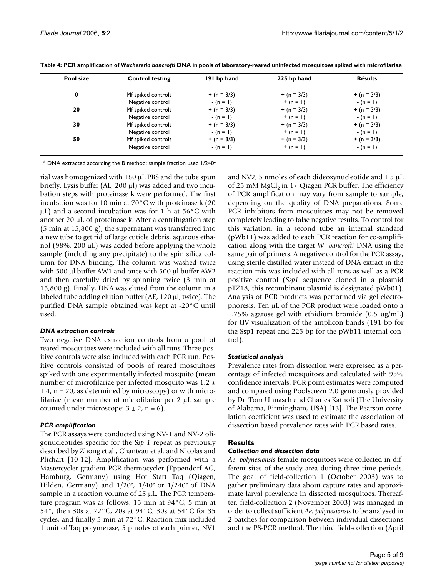| Pool size | <b>Control testing</b> | 191 bp band   | 225 bp band   | <b>Résults</b> |
|-----------|------------------------|---------------|---------------|----------------|
| 0         | Mf spiked controls     | $+ (n = 3/3)$ | $+ (n = 3/3)$ | $+ (n = 3/3)$  |
|           | Negative control       | $-(n = 1)$    | $+(n = 1)$    | $-(n = 1)$     |
| 20        | Mf spiked controls     | $+ (n = 3/3)$ | $+ (n = 3/3)$ | $+ (n = 3/3)$  |
|           | Negative control       | $-(n = 1)$    | $+(n = 1)$    | $-(n = 1)$     |
| 30        | Mf spiked controls     | $+ (n = 3/3)$ | $+ (n = 3/3)$ | $+ (n = 3/3)$  |
|           | Negative control       | $-(n = 1)$    | $+(n = 1)$    | $-(n = 1)$     |
| 50        | Mf spiked controls     | $+ (n = 3/3)$ | $+ (n = 3/3)$ | $+ (n = 3/3)$  |
|           | Negative control       | $-(n = 1)$    | $+ (n = 1)$   | $-(n = 1)$     |

**Table 4: PCR amplification of** *Wuchereria bancrofti* **DNA in pools of laboratory-reared uninfected mosquitoes spiked with microfilariae**

\* DNA extracted according the B method; sample fraction used 1/240e

rial was homogenized with 180 µL PBS and the tube spun briefly. Lysis buffer (AL, 200 µl) was added and two incubation steps with proteinase k were performed. The first incubation was for 10 min at 70°C with proteinase k (20 µL) and a second incubation was for 1 h at 56°C with another 20 µL of proteinase k. After a centrifugation step (5 min at 15,800 g), the supernatant was transferred into a new tube to get rid of large cuticle debris, aqueous ethanol (98%, 200  $\mu$ L) was added before applying the whole sample (including any precipitate) to the spin silica column for DNA binding. The column was washed twice with 500 µl buffer AW1 and once with 500 µl buffer AW2 and then carefully dried by spinning twice (3 min at 15,800 g). Finally, DNA was eluted from the column in a labeled tube adding elution buffer (AE, 120 µl, twice). The purified DNA sample obtained was kept at -20°C until used.

#### *DNA extraction controls*

Two negative DNA extraction controls from a pool of reared mosquitoes were included with all runs. Three positive controls were also included with each PCR run. Positive controls consisted of pools of reared mosquitoes spiked with one experimentally infected mosquito (mean number of microfilariae per infected mosquito was 1.2 ± 1.4, n = 20, as determined by microscopy) or with microfilariae (mean number of microfilariae per 2 µL sample counted under microscope:  $3 \pm 2$ , n = 6).

## *PCR amplification*

The PCR assays were conducted using NV-1 and NV-2 oligonucleotides specific for the S*sp 1* repeat as previously described by Zhong et al., Chanteau et al. and Nicolas and Plichart [\[10](#page-8-1)[-12](#page-8-2)]. Amplification was performed with a Mastercycler gradient PCR thermocycler (Eppendorf AG, Hamburg, Germany) using Hot Start Taq (Qiagen, Hilden, Germany) and  $1/20^e$ ,  $1/40^e$  or  $1/240^e$  of DNA sample in a reaction volume of 25 µL. The PCR temperature program was as follows: 15 min at 94°C, 5 min at 54°, then 30s at 72°C, 20s at 94°C, 30s at 54°C for 35 cycles, and finally 5 min at 72°C. Reaction mix included 1 unit of Taq polymerase, 5 pmoles of each primer, NV1

and NV2, 5 nmoles of each dideoxynucleotide and 1.5 µL of 25 mM MgCl<sub>2</sub> in 1× Qiagen PCR buffer. The efficiency of PCR amplification may vary from sample to sample, depending on the quality of DNA preparations. Some PCR inhibitors from mosquitoes may not be removed completely leading to false negative results. To control for this variation, in a second tube an internal standard (pWb11) was added to each PCR reaction for co-amplification along with the target *W. bancrofti* DNA using the same pair of primers. A negative control for the PCR assay, using sterile distilled water instead of DNA extract in the reaction mix was included with all runs as well as a PCR positive control (*Ssp1* sequence cloned in a plasmid pTZ18, this recombinant plasmid is designated pWb01). Analysis of PCR products was performed via gel electrophoresis. Ten µL of the PCR product were loaded onto a 1.75% agarose gel with ethidium bromide  $(0.5 \text{ µg/mL})$ for UV visualization of the amplicon bands (191 bp for the Ssp1 repeat and 225 bp for the pWb11 internal control).

## *Statistical analysis*

Prevalence rates from dissection were expressed as a percentage of infected mosquitoes and calculated with 95% confidence intervals. PCR point estimates were computed and compared using Poolscreen 2.0 generously provided by Dr. Tom Unnasch and Charles Katholi (The University of Alabama, Birmingham, USA) [13]. The Pearson correlation coefficient was used to estimate the association of dissection based prevalence rates with PCR based rates.

#### **Results**

#### *Collection and dissection data*

*Ae. polynesiensis* female mosquitoes were collected in different sites of the study area during three time periods. The goal of field-collection 1 (October 2003) was to gather preliminary data about capture rates and approximate larval prevalence in dissected mosquitoes. Thereafter, field-collection 2 (November 2003) was managed in order to collect sufficient *Ae. polynesiensis* to be analysed in 2 batches for comparison between individual dissections and the PS-PCR method. The third field-collection (April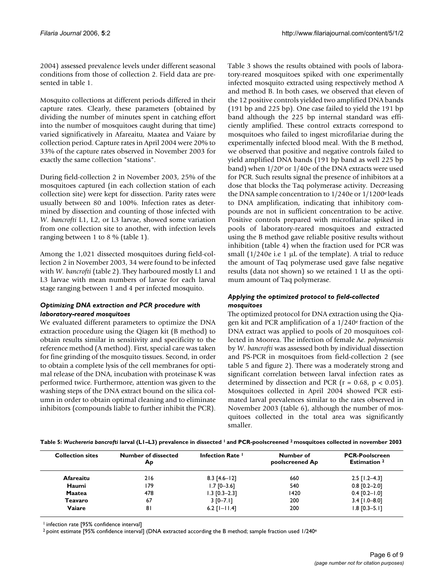2004) assessed prevalence levels under different seasonal conditions from those of collection 2. Field data are presented in table 1.

Mosquito collections at different periods differed in their capture rates. Clearly, these parameters (obtained by dividing the number of minutes spent in catching effort into the number of mosquitoes caught during that time) varied significatively in Afareaitu, Maatea and Vaiare by collection period. Capture rates in April 2004 were 20% to 33% of the capture rates observed in November 2003 for exactly the same collection "stations".

During field-collection 2 in November 2003, 25% of the mosquitoes captured (in each collection station of each collection site) were kept for dissection. Parity rates were usually between 80 and 100%. Infection rates as determined by dissection and counting of those infected with *W. bancrofti* L1, L2, or L3 larvae, showed some variation from one collection site to another, with infection levels ranging between 1 to 8 % (table 1).

Among the 1,021 dissected mosquitoes during field-collection 2 in November 2003, 34 were found to be infected with *W. bancrofti* (table 2). They harboured mostly L1 and L3 larvae with mean numbers of larvae for each larval stage ranging between 1 and 4 per infected mosquito.

## *Optimizing DNA extraction and PCR procedure with laboratory-reared mosquitoes*

We evaluated different parameters to optimize the DNA extraction procedure using the Qiagen kit (B method) to obtain results similar in sensitivity and specificity to the reference method (A method). First, special care was taken for fine grinding of the mosquito tissues. Second, in order to obtain a complete lysis of the cell membranes for optimal release of the DNA, incubation with proteinase K was performed twice. Furthermore, attention was given to the washing steps of the DNA extract bound on the silica column in order to obtain optimal cleaning and to eliminate inhibitors (compounds liable to further inhibit the PCR).

Table 3 shows the results obtained with pools of laboratory-reared mosquitoes spiked with one experimentally infected mosquito extracted using respectively method A and method B. In both cases, we observed that eleven of the 12 positive controls yielded two amplified DNA bands (191 bp and 225 bp). One case failed to yield the 191 bp band although the 225 bp internal standard was efficiently amplified. These control extracts correspond to mosquitoes who failed to ingest microfilariae during the experimentally infected blood meal. With the B method, we observed that positive and negative controls failed to yield amplified DNA bands (191 bp band as well 225 bp band) when  $1/20$ <sup>e</sup> or  $1/40$ e of the DNA extracts were used for PCR. Such results signal the presence of inhibitors at a dose that blocks the Taq polymerase activity. Decreasing the DNA sample concentration to 1/240e or 1/1200e leads to DNA amplification, indicating that inhibitory compounds are not in sufficient concentration to be active. Positive controls prepared with microfilariae spiked in pools of laboratory-reared mosquitoes and extracted using the B method gave reliable positive results without inhibition (table 4) when the fraction used for PCR was small  $(1/240e)$  i.e 1 µL of the template). A trial to reduce the amount of Taq polymerase used gave false negative results (data not shown) so we retained 1 U as the optimum amount of Taq polymerase.

# *Applying the optimized protocol to field-collected mosquitoes*

The optimized protocol for DNA extraction using the Qiagen kit and PCR amplification of a 1/240e fraction of the DNA extract was applied to pools of 20 mosquitoes collected in Moorea. The infection of female A*e. polynesiensis* by *W. bancrofti* was assessed both by individual dissection and PS-PCR in mosquitoes from field-collection 2 (see table 5 and figure 2). There was a moderately strong and significant correlation between larval infection rates as determined by dissection and PCR ( $r = 0.68$ ,  $p < 0.05$ ). Mosquitoes collected in April 2004 showed PCR estimated larval prevalences similar to the rates observed in November 2003 (table 6), although the number of mosquitoes collected in the total area was significantly smaller.

**Table 5:** *Wuchereria bancrofti* **larval (L1–L3) prevalence in dissected 1 and PCR-poolscreened 2 mosquitoes collected in november 2003**

| <b>Collection sites</b> | <b>Number of dissected</b><br>Ap | Infection Rate I   | Number of<br>poolscreened Ap | <b>PCR-Poolscreen</b><br><b>Estimation</b> <sup>2</sup> |
|-------------------------|----------------------------------|--------------------|------------------------------|---------------------------------------------------------|
| Afareaitu               | 216                              | $8.3$ [4.6-12]     | 660                          | $2.5$ [1.2–4.3]                                         |
| Haumi                   | 179                              | $1.7$ [0-3.6]      | 540                          | $0.8$ [0.2-2.0]                                         |
| <b>Maatea</b>           | 478                              | $1.3$ [0.3-2.3]    | 1420                         | $0.4$ [0.2-1.0]                                         |
| Teavaro                 | 67                               | $3 [0 - 7.1]$      | 200                          | $3.4$ [1.0-8.0]                                         |
| Vaiare                  | 81                               | $6.2$ [ $I-I1.4$ ] | 200                          | $1.8$ [0.3-5.1]                                         |

<sup>1</sup> infection rate [95% confidence interval]

 $2$  point estimate [95% confidence interval] (DNA extracted according the B method; sample fraction used 1/240<sup>e</sup>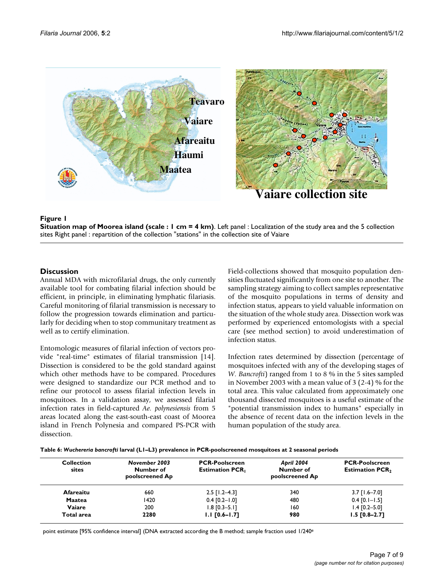

## **Figure 1**

**Situation map of Moorea island (scale : 1 cm = 4 km)**. Left panel : Localization of the study area and the 5 collection sites Right panel : repartition of the collection "stations" in the collection site of Vaiare

# **Discussion**

Annual MDA with microfilarial drugs, the only currently available tool for combating filarial infection should be efficient, in principle, in eliminating lymphatic filariasis. Careful monitoring of filarial transmission is necessary to follow the progression towards elimination and particularly for deciding when to stop communitary treatment as well as to certify elimination.

Entomologic measures of filarial infection of vectors provide "real-time" estimates of filarial transmission [14]. Dissection is considered to be the gold standard against which other methods have to be compared. Procedures were designed to standardize our PCR method and to refine our protocol to assess filarial infection levels in mosquitoes. In a validation assay, we assessed filarial infection rates in field-captured *Ae. polynesiensis* from 5 areas located along the east-south-east coast of Moorea island in French Polynesia and compared PS-PCR with dissection.

Field-collections showed that mosquito population densities fluctuated significantly from one site to another. The sampling strategy aiming to collect samples representative of the mosquito populations in terms of density and infection status, appears to yield valuable information on the situation of the whole study area. Dissection work was performed by experienced entomologists with a special care (see method section) to avoid underestimation of infection status.

Infection rates determined by dissection (percentage of mosquitoes infected with any of the developing stages of *W. Bancrofti*) ranged from 1 to 8 % in the 5 sites sampled in November 2003 with a mean value of 3 (2-4) % for the total area. This value calculated from approximately one thousand dissected mosquitoes is a useful estimate of the "potential transmission index to humans" especially in the absence of recent data on the infection levels in the human population of the study area.

**Table 6:** *Wuchereria bancrofti* **larval (L1–L3) prevalence in PCR-poolscreened mosquitoes at 2 seasonal periods**

| <b>Collection</b><br>sites | November 2003<br>Number of<br>poolscreened Ap | <b>PCR-Poolscreen</b><br><b>Estimation PCR,</b> | <b>April 2004</b><br>Number of<br>poolscreened Ap | <b>PCR-Poolscreen</b><br><b>Estimation PCR,</b> |
|----------------------------|-----------------------------------------------|-------------------------------------------------|---------------------------------------------------|-------------------------------------------------|
| Afareaitu                  | 660                                           | $2.5$ [1.2-4.3]                                 | 340                                               | $3.7$ [1.6-7.0]                                 |
| <b>Maatea</b>              | 1420                                          | $0.4$ [0.2-1.0]                                 | 480                                               | $0.4$ [0.1-1.5]                                 |
| Vaiare                     | 200                                           | $1.8$ [0.3-5.1]                                 | 160                                               | $1.4$ [0.2-5.0]                                 |
| Total area                 | 2280                                          | $1.1$ $[0.6 - 1.7]$                             | 980                                               | $1.5$ $[0.8-2.7]$                               |

point estimate [95% confidence interval] (DNA extracted according the B method; sample fraction used 1/240<sup>e</sup>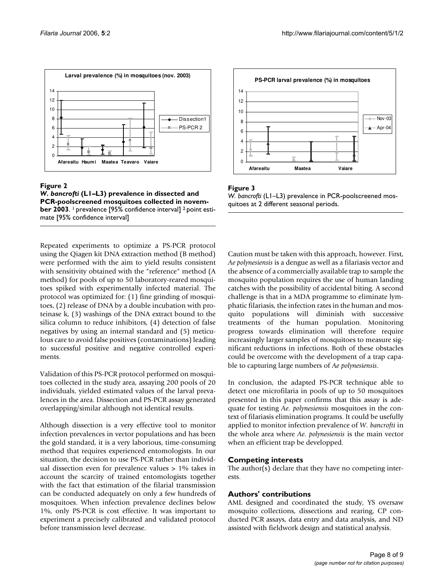



Repeated experiments to optimize a PS-PCR protocol using the Qiagen kit DNA extraction method (B method) were performed with the aim to yield results consistent with sensitivity obtained with the "reference" method (A method) for pools of up to 50 laboratory-reared mosquitoes spiked with experimentally infected material. The protocol was optimized for: (1) fine grinding of mosquitoes, (2) release of DNA by a double incubation with proteinase k, (3) washings of the DNA extract bound to the silica column to reduce inhibitors, (4) detection of false negatives by using an internal standard and (5) meticulous care to avoid false positives (contaminations) leading to successful positive and negative controlled experiments.

Validation of this PS-PCR protocol performed on mosquitoes collected in the study area, assaying 200 pools of 20 individuals, yielded estimated values of the larval prevalences in the area. Dissection and PS-PCR assay generated overlapping/similar although not identical results.

Although dissection is a very effective tool to monitor infection prevalences in vector populations and has been the gold standard, it is a very laborious, time-consuming method that requires experienced entomologists. In our situation, the decision to use PS-PCR rather than individual dissection even for prevalence values > 1% takes in account the scarcity of trained entomologists together with the fact that estimation of the filarial transmission can be conducted adequately on only a few hundreds of mosquitoes. When infection prevalence declines below 1%, only PS-PCR is cost effective. It was important to experiment a precisely calibrated and validated protocol before transmission level decrease.



## **Figure 3**



Caution must be taken with this approach, however. First, *Ae polynesiensis* is a dengue as well as a filariasis vector and the absence of a commercially available trap to sample the mosquito population requires the use of human landing catches with the possibility of accidental biting. A second challenge is that in a MDA programme to eliminate lymphatic filariasis, the infection rates in the human and mosquito populations will diminish with successive treatments of the human population. Monitoring progress towards elimination will therefore require increasingly larger samples of mosquitoes to measure significant reductions in infections. Both of these obstacles could be overcome with the development of a trap capable to capturing large numbers of *Ae polynesiensis*.

In conclusion, the adapted PS-PCR technique able to detect one microfilaria in pools of up to 50 mosquitoes presented in this paper confirms that this assay is adequate for testing *Ae. polynesiensis* mosquitoes in the context of filariasis elimination programs. It could be usefully applied to monitor infection prevalence of *W. bancrofti* in the whole area where *Ae. polynesiensis* is the main vector when an efficient trap be developped.

# **Competing interests**

The author(s) declare that they have no competing interests.

# **Authors' contributions**

AML designed and coordinated the study, YS oversaw mosquito collections, dissections and rearing, CP conducted PCR assays, data entry and data analysis, and ND assisted with fieldwork design and statistical analysis.